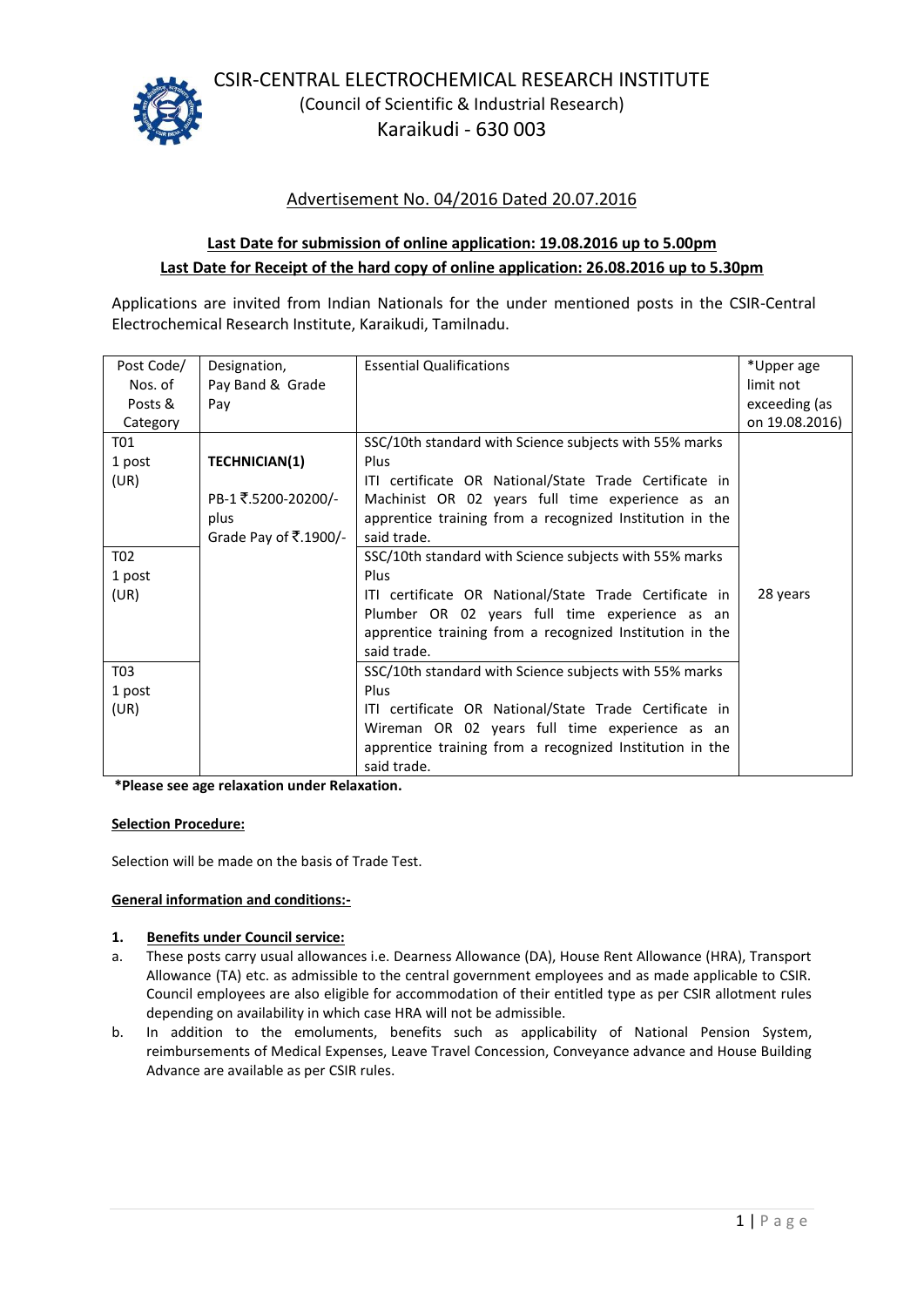

CSIR-CENTRAL ELECTROCHEMICAL RESEARCH INSTITUTE (Council of Scientific & Industrial Research) Karaikudi - 630 003

# Advertisement No. 04/2016 Dated 20.07.2016

# **Last Date for submission of online application: 19.08.2016 up to 5.00pm Last Date for Receipt of the hard copy of online application: 26.08.2016 up to 5.30pm**

Applications are invited from Indian Nationals for the under mentioned posts in the CSIR-Central Electrochemical Research Institute, Karaikudi, Tamilnadu.

| Post Code/       | Designation,          | <b>Essential Qualifications</b>                          | *Upper age     |
|------------------|-----------------------|----------------------------------------------------------|----------------|
| Nos. of          | Pay Band & Grade      |                                                          | limit not      |
| Posts &          | Pay                   |                                                          | exceeding (as  |
| Category         |                       |                                                          | on 19.08.2016) |
| T01              |                       | SSC/10th standard with Science subjects with 55% marks   |                |
| 1 post           | <b>TECHNICIAN(1)</b>  | Plus                                                     |                |
| (UR)             |                       | ITI certificate OR National/State Trade Certificate in   |                |
|                  | PB-1₹.5200-20200/-    | Machinist OR 02 years full time experience as an         |                |
|                  | plus                  | apprentice training from a recognized Institution in the |                |
|                  | Grade Pay of ₹.1900/- | said trade.                                              |                |
| T <sub>0</sub> 2 |                       | SSC/10th standard with Science subjects with 55% marks   |                |
| 1 post           |                       | Plus                                                     |                |
| (UR)             |                       | ITI certificate OR National/State Trade Certificate in   | 28 years       |
|                  |                       | Plumber OR 02 years full time experience as an           |                |
|                  |                       | apprentice training from a recognized Institution in the |                |
|                  |                       | said trade.                                              |                |
| T03              |                       | SSC/10th standard with Science subjects with 55% marks   |                |
| 1 post           |                       | Plus                                                     |                |
| (UR)             |                       | ITI certificate OR National/State Trade Certificate in   |                |
|                  |                       | Wireman OR 02 years full time experience as an           |                |
|                  |                       | apprentice training from a recognized Institution in the |                |
|                  |                       | said trade.                                              |                |

**\*Please see age relaxation under Relaxation.**

#### **Selection Procedure:**

Selection will be made on the basis of Trade Test.

### **General information and conditions:-**

#### **1. Benefits under Council service:**

- a. These posts carry usual allowances i.e. Dearness Allowance (DA), House Rent Allowance (HRA), Transport Allowance (TA) etc. as admissible to the central government employees and as made applicable to CSIR. Council employees are also eligible for accommodation of their entitled type as per CSIR allotment rules depending on availability in which case HRA will not be admissible.
- b. In addition to the emoluments, benefits such as applicability of National Pension System, reimbursements of Medical Expenses, Leave Travel Concession, Conveyance advance and House Building Advance are available as per CSIR rules.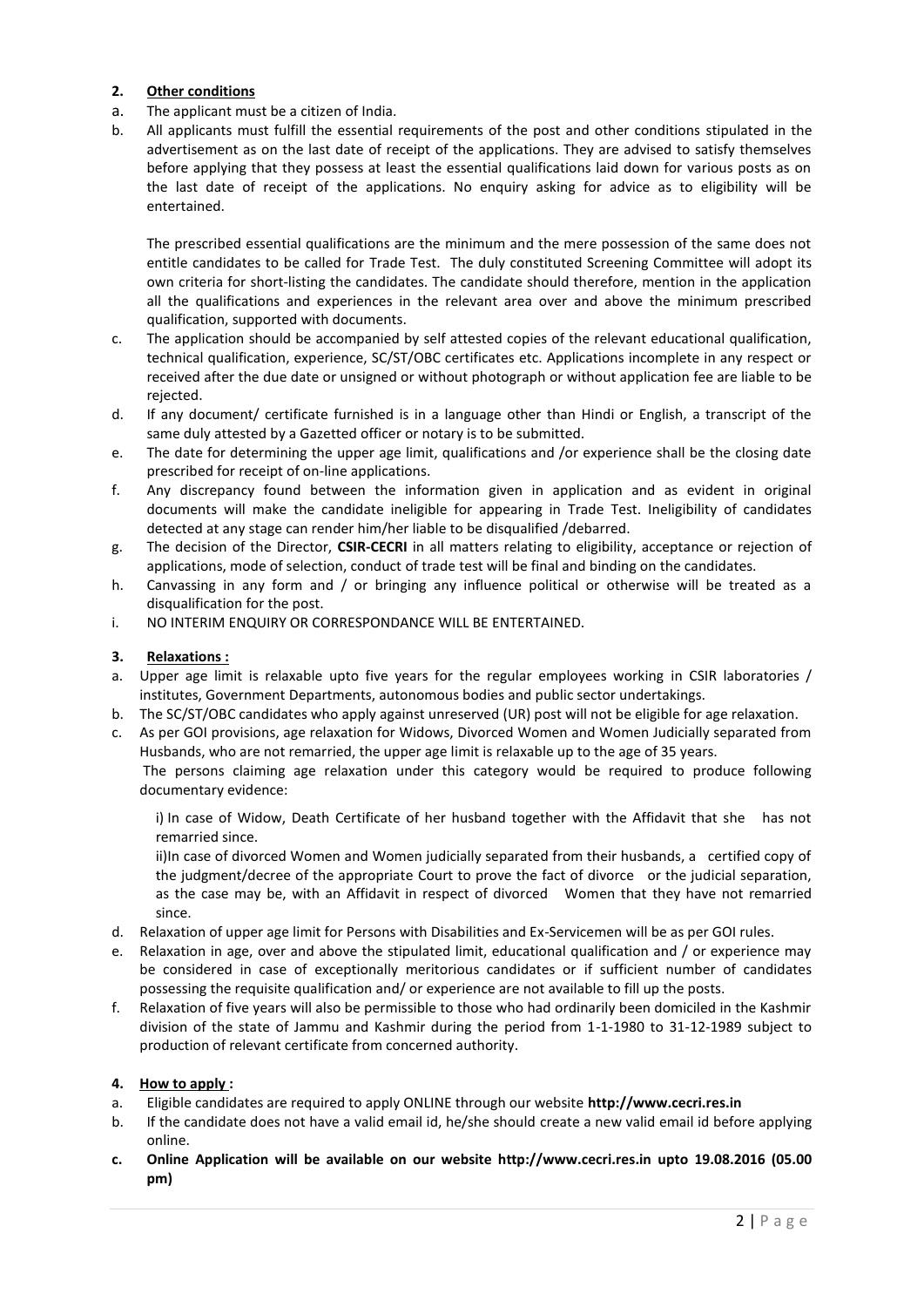## **2. Other conditions**

- a. The applicant must be a citizen of India.
- b. All applicants must fulfill the essential requirements of the post and other conditions stipulated in the advertisement as on the last date of receipt of the applications. They are advised to satisfy themselves before applying that they possess at least the essential qualifications laid down for various posts as on the last date of receipt of the applications. No enquiry asking for advice as to eligibility will be entertained.

The prescribed essential qualifications are the minimum and the mere possession of the same does not entitle candidates to be called for Trade Test. The duly constituted Screening Committee will adopt its own criteria for short-listing the candidates. The candidate should therefore, mention in the application all the qualifications and experiences in the relevant area over and above the minimum prescribed qualification, supported with documents.

- c. The application should be accompanied by self attested copies of the relevant educational qualification, technical qualification, experience, SC/ST/OBC certificates etc. Applications incomplete in any respect or received after the due date or unsigned or without photograph or without application fee are liable to be rejected.
- d. If any document/ certificate furnished is in a language other than Hindi or English, a transcript of the same duly attested by a Gazetted officer or notary is to be submitted.
- e. The date for determining the upper age limit, qualifications and /or experience shall be the closing date prescribed for receipt of on-line applications.
- f. Any discrepancy found between the information given in application and as evident in original documents will make the candidate ineligible for appearing in Trade Test. Ineligibility of candidates detected at any stage can render him/her liable to be disqualified /debarred.
- g. The decision of the Director, **CSIR-CECRI** in all matters relating to eligibility, acceptance or rejection of applications, mode of selection, conduct of trade test will be final and binding on the candidates.
- h. Canvassing in any form and / or bringing any influence political or otherwise will be treated as a disqualification for the post.
- i. NO INTERIM ENQUIRY OR CORRESPONDANCE WILL BE ENTERTAINED.

#### **3. Relaxations :**

- a. Upper age limit is relaxable upto five years for the regular employees working in CSIR laboratories / institutes, Government Departments, autonomous bodies and public sector undertakings.
- b. The SC/ST/OBC candidates who apply against unreserved (UR) post will not be eligible for age relaxation.
- c. As per GOI provisions, age relaxation for Widows, Divorced Women and Women Judicially separated from Husbands, who are not remarried, the upper age limit is relaxable up to the age of 35 years.

The persons claiming age relaxation under this category would be required to produce following documentary evidence:

i) In case of Widow, Death Certificate of her husband together with the Affidavit that she has not remarried since.

ii)In case of divorced Women and Women judicially separated from their husbands, a certified copy of the judgment/decree of the appropriate Court to prove the fact of divorce or the judicial separation, as the case may be, with an Affidavit in respect of divorced Women that they have not remarried since.

- d. Relaxation of upper age limit for Persons with Disabilities and Ex-Servicemen will be as per GOI rules.
- e. Relaxation in age, over and above the stipulated limit, educational qualification and / or experience may be considered in case of exceptionally meritorious candidates or if sufficient number of candidates possessing the requisite qualification and/ or experience are not available to fill up the posts.
- f. Relaxation of five years will also be permissible to those who had ordinarily been domiciled in the Kashmir division of the state of Jammu and Kashmir during the period from 1-1-1980 to 31-12-1989 subject to production of relevant certificate from concerned authority.

## **4. How to apply :**

- a. Eligible candidates are required to apply ONLINE through our website **http://www.cecri.res.in**
- b. If the candidate does not have a valid email id, he/she should create a new valid email id before applying online.
- **c. Online Application will be available on our website http://www.cecri.res.in upto 19.08.2016 (05.00 pm)**